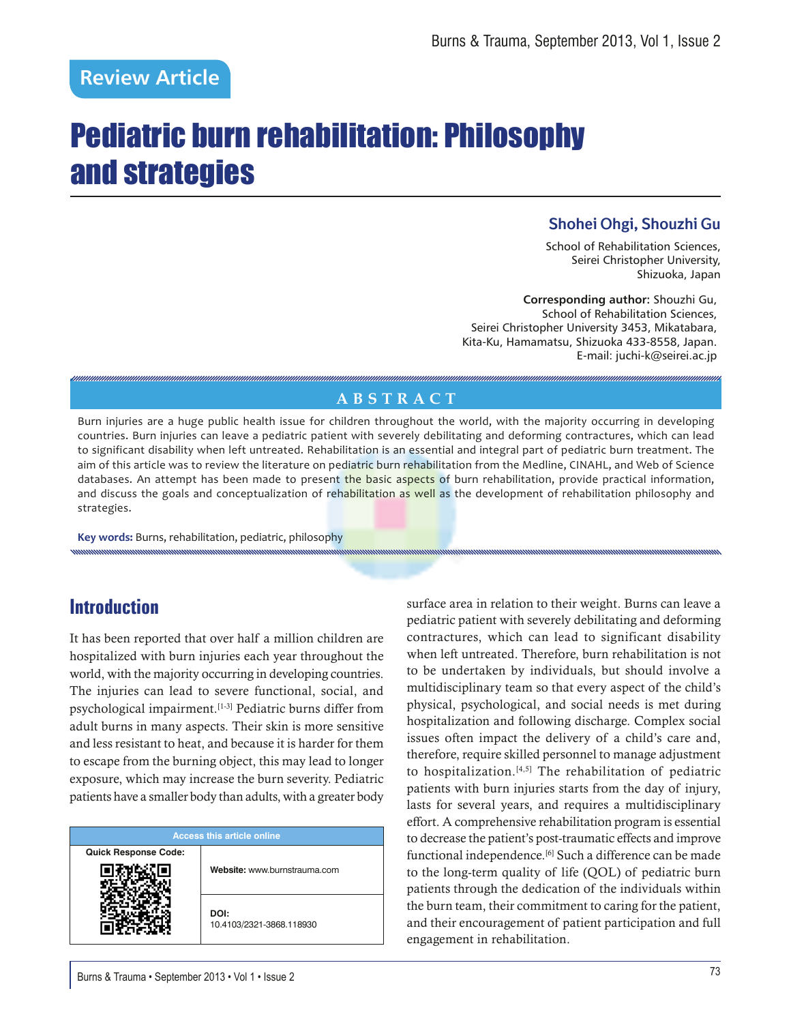# Pediatric burn rehabilitation: Philosophy and strategies

#### **Shohei Ohgi, Shouzhi Gu**

School of Rehabilitation Sciences, Seirei Christopher University, Shizuoka, Japan

**Corresponding author:** Shouzhi Gu, School of Rehabilitation Sciences, Seirei Christopher University 3453, Mikatabara, Kita-Ku, Hamamatsu, Shizuoka 433-8558, Japan. E-mail: juchi-k@seirei.ac.jp

#### **ABSTRACT**

Burn injuries are a huge public health issue for children throughout the world, with the majority occurring in developing countries. Burn injuries can leave a pediatric patient with severely debilitating and deforming contractures, which can lead to significant disability when left untreated. Rehabilitation is an essential and integral part of pediatric burn treatment. The aim of this article was to review the literature on pediatric burn rehabilitation from the Medline, CINAHL, and Web of Science databases. An attempt has been made to present the basic aspects of burn rehabilitation, provide practical information, and discuss the goals and conceptualization of rehabilitation as well as the development of rehabilitation philosophy and strategies.

**Key words:** Burns, rehabilitation, pediatric, philosophy

#### **Introduction**

It has been reported that over half a million children are hospitalized with burn injuries each year throughout the world, with the majority occurring in developing countries. The injuries can lead to severe functional, social, and psychological impairment.[1-3] Pediatric burns differ from adult burns in many aspects. Their skin is more sensitive and less resistant to heat, and because it is harder for them to escape from the burning object, this may lead to longer exposure, which may increase the burn severity. Pediatric patients have a smaller body than adults, with a greater body

| <b>Access this article online</b> |                                  |
|-----------------------------------|----------------------------------|
| <b>Quick Response Code:</b>       |                                  |
|                                   | Website: www.burnstrauma.com     |
|                                   | DOI:<br>10.4103/2321-3868.118930 |

surface area in relation to their weight. Burns can leave a pediatric patient with severely debilitating and deforming contractures, which can lead to significant disability when left untreated. Therefore, burn rehabilitation is not to be undertaken by individuals, but should involve a multidisciplinary team so that every aspect of the child's physical, psychological, and social needs is met during hospitalization and following discharge. Complex social issues often impact the delivery of a child's care and, therefore, require skilled personnel to manage adjustment to hospitalization.[4,5] The rehabilitation of pediatric patients with burn injuries starts from the day of injury, lasts for several years, and requires a multidisciplinary effort. A comprehensive rehabilitation program is essential to decrease the patient's post-traumatic effects and improve functional independence.<sup>[6]</sup> Such a difference can be made to the long-term quality of life (QOL) of pediatric burn patients through the dedication of the individuals within the burn team, their commitment to caring for the patient, and their encouragement of patient participation and full engagement in rehabilitation.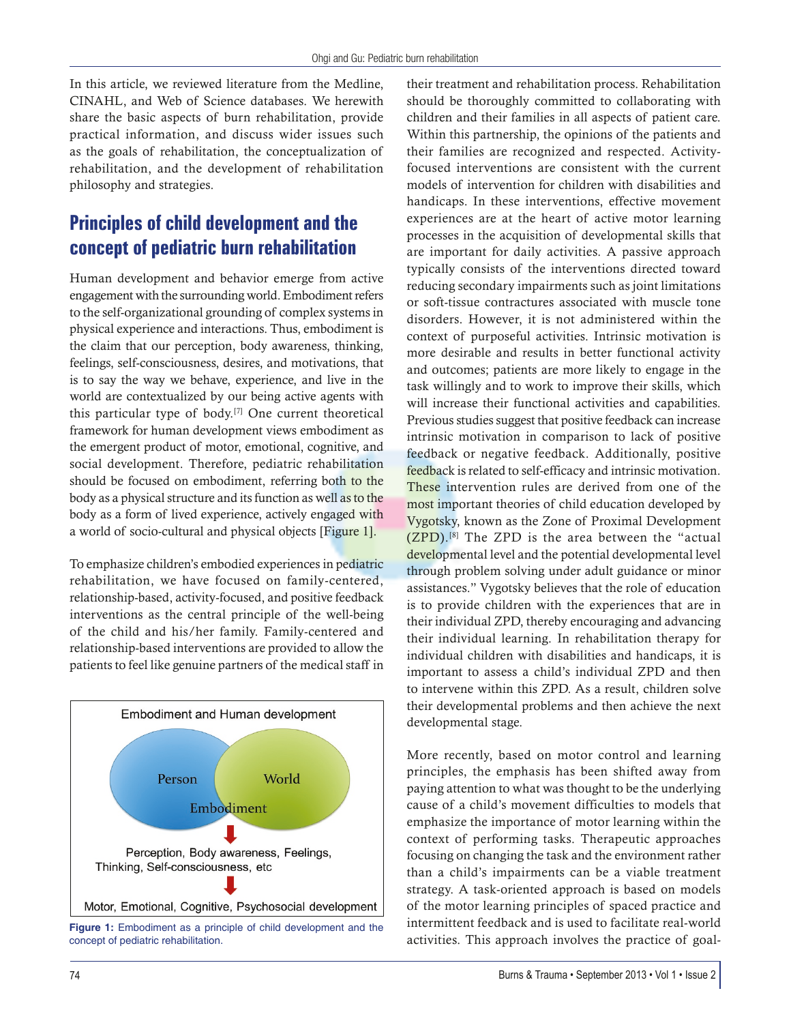In this article, we reviewed literature from the Medline, CINAHL, and Web of Science databases. We herewith share the basic aspects of burn rehabilitation, provide practical information, and discuss wider issues such as the goals of rehabilitation, the conceptualization of rehabilitation, and the development of rehabilitation philosophy and strategies.

## **Principles of child development and the concept of pediatric burn rehabilitation**

Human development and behavior emerge from active engagement with the surrounding world. Embodiment refers to the self-organizational grounding of complex systems in physical experience and interactions. Thus, embodiment is the claim that our perception, body awareness, thinking, feelings, self-consciousness, desires, and motivations, that is to say the way we behave, experience, and live in the world are contextualized by our being active agents with this particular type of body.[7] One current theoretical framework for human development views embodiment as the emergent product of motor, emotional, cognitive, and social development. Therefore, pediatric rehabilitation should be focused on embodiment, referring both to the body as a physical structure and its function as well as to the body as a form of lived experience, actively engaged with a world of socio-cultural and physical objects [Figure 1].

To emphasize children's embodied experiences in pediatric rehabilitation, we have focused on family-centered, relationship-based, activity-focused, and positive feedback interventions as the central principle of the well-being of the child and his/her family. Family-centered and relationship-based interventions are provided to allow the patients to feel like genuine partners of the medical staff in



**Figure 1:** Embodiment as a principle of child development and the concept of pediatric rehabilitation.

their treatment and rehabilitation process. Rehabilitation should be thoroughly committed to collaborating with children and their families in all aspects of patient care. Within this partnership, the opinions of the patients and their families are recognized and respected. Activityfocused interventions are consistent with the current models of intervention for children with disabilities and handicaps. In these interventions, effective movement experiences are at the heart of active motor learning processes in the acquisition of developmental skills that are important for daily activities. A passive approach typically consists of the interventions directed toward reducing secondary impairments such as joint limitations or soft-tissue contractures associated with muscle tone disorders. However, it is not administered within the context of purposeful activities. Intrinsic motivation is more desirable and results in better functional activity and outcomes; patients are more likely to engage in the task willingly and to work to improve their skills, which will increase their functional activities and capabilities. Previous studies suggest that positive feedback can increase intrinsic motivation in comparison to lack of positive feedback or negative feedback. Additionally, positive feedback is related to self-efficacy and intrinsic motivation. These intervention rules are derived from one of the most important theories of child education developed by Vygotsky, known as the Zone of Proximal Development  $(ZPD)$ .<sup>[8]</sup> The ZPD is the area between the "actual developmental level and the potential developmental level through problem solving under adult guidance or minor assistances." Vygotsky believes that the role of education is to provide children with the experiences that are in their individual ZPD, thereby encouraging and advancing their individual learning. In rehabilitation therapy for individual children with disabilities and handicaps, it is important to assess a child's individual ZPD and then to intervene within this ZPD. As a result, children solve their developmental problems and then achieve the next developmental stage.

More recently, based on motor control and learning principles, the emphasis has been shifted away from paying attention to what was thought to be the underlying cause of a child's movement difficulties to models that emphasize the importance of motor learning within the context of performing tasks. Therapeutic approaches focusing on changing the task and the environment rather than a child's impairments can be a viable treatment strategy. A task-oriented approach is based on models of the motor learning principles of spaced practice and intermittent feedback and is used to facilitate real-world activities. This approach involves the practice of goal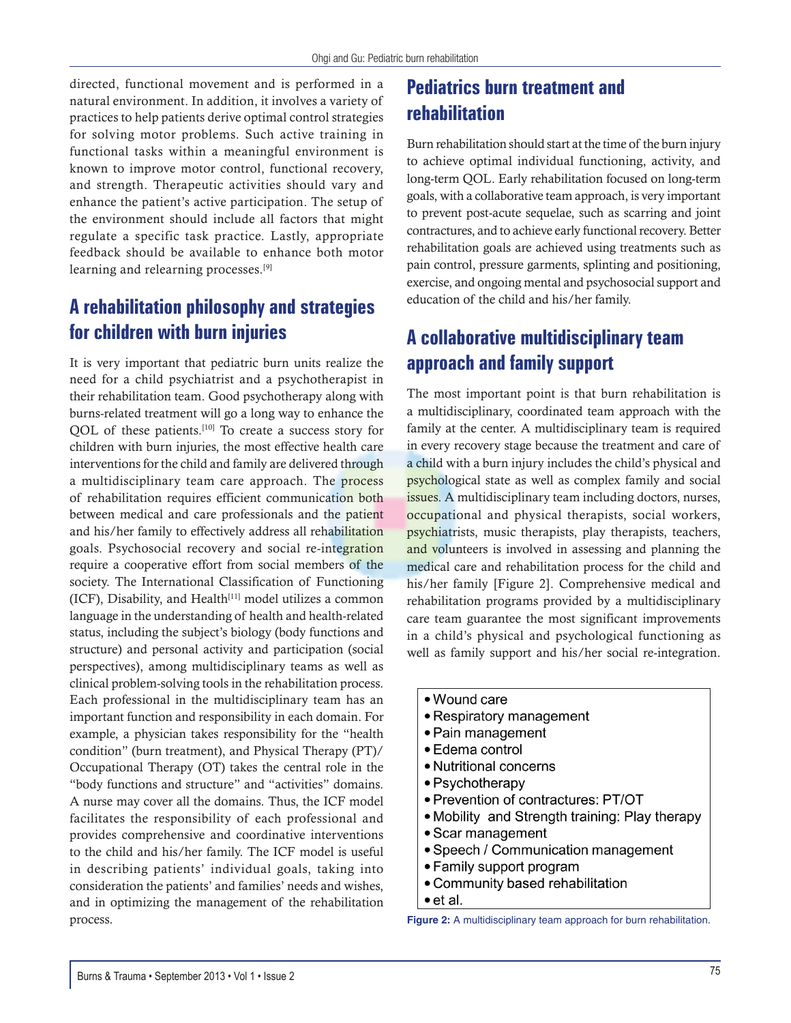directed, functional movement and is performed in a natural environment. In addition, it involves a variety of practices to help patients derive optimal control strategies for solving motor problems. Such active training in functional tasks within a meaningful environment is known to improve motor control, functional recovery, and strength. Therapeutic activities should vary and enhance the patient's active participation. The setup of the environment should include all factors that might regulate a specific task practice. Lastly, appropriate feedback should be available to enhance both motor learning and relearning processes.[9]

## **A rehabilitation philosophy and strategies for children with burn injuries**

It is very important that pediatric burn units realize the need for a child psychiatrist and a psychotherapist in their rehabilitation team. Good psychotherapy along with burns-related treatment will go a long way to enhance the QOL of these patients.[10] To create a success story for children with burn injuries, the most effective health care interventions for the child and family are delivered through a multidisciplinary team care approach. The process of rehabilitation requires efficient communication both between medical and care professionals and the patient and his/her family to effectively address all rehabilitation goals. Psychosocial recovery and social re-integration require a cooperative effort from social members of the society. The International Classification of Functioning (ICF), Disability, and Health $[11]$  model utilizes a common language in the understanding of health and health-related status, including the subject's biology (body functions and structure) and personal activity and participation (social perspectives), among multidisciplinary teams as well as clinical problem-solving tools in the rehabilitation process. Each professional in the multidisciplinary team has an important function and responsibility in each domain. For example, a physician takes responsibility for the "health condition" (burn treatment), and Physical Therapy (PT)/ Occupational Therapy (OT) takes the central role in the "body functions and structure" and "activities" domains. A nurse may cover all the domains. Thus, the ICF model facilitates the responsibility of each professional and provides comprehensive and coordinative interventions to the child and his/her family. The ICF model is useful in describing patients' individual goals, taking into consideration the patients' and families' needs and wishes, and in optimizing the management of the rehabilitation process.

# **Pediatrics burn treatment and rehabilitation**

Burn rehabilitation should start at the time of the burn injury to achieve optimal individual functioning, activity, and long-term QOL. Early rehabilitation focused on long-term goals, with a collaborative team approach, is very important to prevent post-acute sequelae, such as scarring and joint contractures, and to achieve early functional recovery. Better rehabilitation goals are achieved using treatments such as pain control, pressure garments, splinting and positioning, exercise, and ongoing mental and psychosocial support and education of the child and his/her family.

## **A collaborative multidisciplinary team approach and family support**

The most important point is that burn rehabilitation is a multidisciplinary, coordinated team approach with the family at the center. A multidisciplinary team is required in every recovery stage because the treatment and care of a child with a burn injury includes the child's physical and psychological state as well as complex family and social issues. A multidisciplinary team including doctors, nurses, occupational and physical therapists, social workers, psychiatrists, music therapists, play therapists, teachers, and volunteers is involved in assessing and planning the medical care and rehabilitation process for the child and his/her family [Figure 2]. Comprehensive medical and rehabilitation programs provided by a multidisciplinary care team guarantee the most significant improvements in a child's physical and psychological functioning as well as family support and his/her social re-integration.

- Wound care
- Respiratory management
- Pain management
- Edema control
- Nutritional concerns
- Psychotherapy
- · Prevention of contractures: PT/OT
- Mobility and Strength training: Play therapy
- Scar management
- Speech / Communication management
- Family support program
- Community based rehabilitation

 $\bullet$  et al.

**Figure 2:** A multidisciplinary team approach for burn rehabilitation.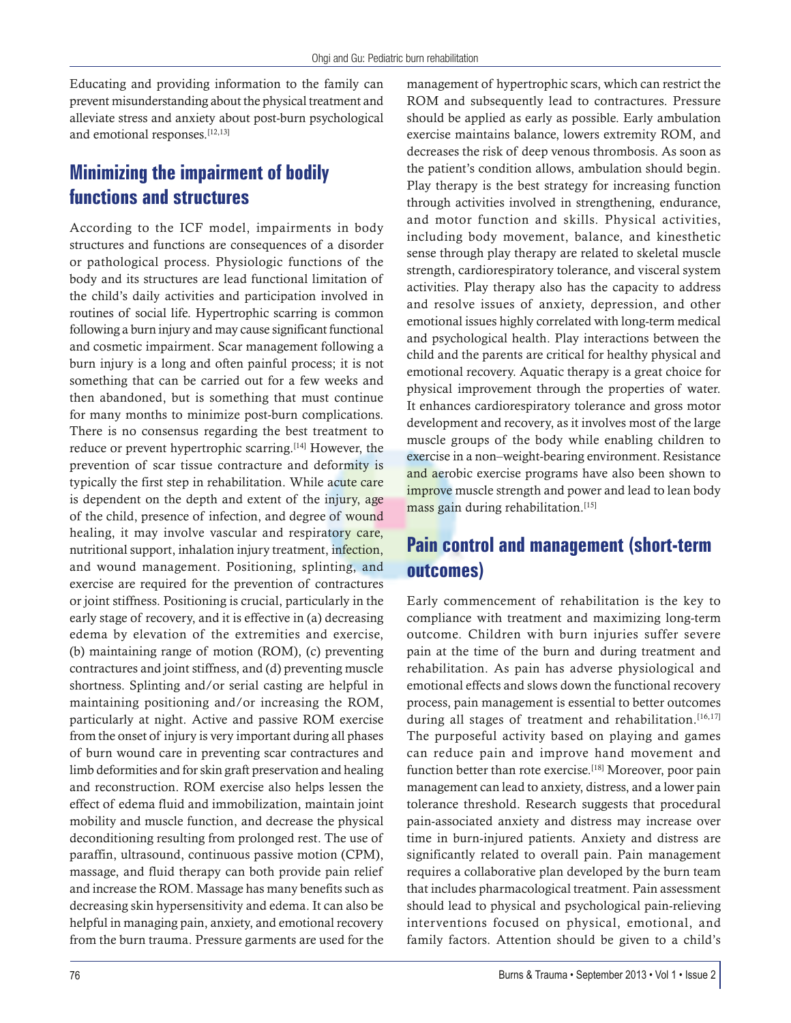Educating and providing information to the family can prevent misunderstanding about the physical treatment and alleviate stress and anxiety about post-burn psychological and emotional responses.<sup>[12,13]</sup>

# **Minimizing the impairment of bodily functions and structures**

According to the ICF model, impairments in body structures and functions are consequences of a disorder or pathological process. Physiologic functions of the body and its structures are lead functional limitation of the child's daily activities and participation involved in routines of social life. Hypertrophic scarring is common following a burn injury and may cause significant functional and cosmetic impairment. Scar management following a burn injury is a long and often painful process; it is not something that can be carried out for a few weeks and then abandoned, but is something that must continue for many months to minimize post-burn complications. There is no consensus regarding the best treatment to reduce or prevent hypertrophic scarring.<sup>[14]</sup> However, the prevention of scar tissue contracture and deformity is typically the first step in rehabilitation. While acute care is dependent on the depth and extent of the injury, age of the child, presence of infection, and degree of wound healing, it may involve vascular and respiratory care, nutritional support, inhalation injury treatment, infection, and wound management. Positioning, splinting, and exercise are required for the prevention of contractures or joint stiffness. Positioning is crucial, particularly in the early stage of recovery, and it is effective in (a) decreasing edema by elevation of the extremities and exercise, (b) maintaining range of motion (ROM), (c) preventing contractures and joint stiffness, and (d) preventing muscle shortness. Splinting and/or serial casting are helpful in maintaining positioning and/or increasing the ROM, particularly at night. Active and passive ROM exercise from the onset of injury is very important during all phases of burn wound care in preventing scar contractures and limb deformities and for skin graft preservation and healing and reconstruction. ROM exercise also helps lessen the effect of edema fluid and immobilization, maintain joint mobility and muscle function, and decrease the physical deconditioning resulting from prolonged rest. The use of paraffin, ultrasound, continuous passive motion (CPM), massage, and fluid therapy can both provide pain relief and increase the ROM. Massage has many benefits such as decreasing skin hypersensitivity and edema. It can also be helpful in managing pain, anxiety, and emotional recovery from the burn trauma. Pressure garments are used for the management of hypertrophic scars, which can restrict the ROM and subsequently lead to contractures. Pressure should be applied as early as possible. Early ambulation exercise maintains balance, lowers extremity ROM, and decreases the risk of deep venous thrombosis. As soon as the patient's condition allows, ambulation should begin. Play therapy is the best strategy for increasing function through activities involved in strengthening, endurance, and motor function and skills. Physical activities, including body movement, balance, and kinesthetic sense through play therapy are related to skeletal muscle strength, cardiorespiratory tolerance, and visceral system activities. Play therapy also has the capacity to address and resolve issues of anxiety, depression, and other emotional issues highly correlated with long-term medical and psychological health. Play interactions between the child and the parents are critical for healthy physical and emotional recovery. Aquatic therapy is a great choice for physical improvement through the properties of water. It enhances cardiorespiratory tolerance and gross motor development and recovery, as it involves most of the large muscle groups of the body while enabling children to exercise in a non–weight-bearing environment. Resistance and aerobic exercise programs have also been shown to improve muscle strength and power and lead to lean body mass gain during rehabilitation.<sup>[15]</sup>

### **Pain control and management (short-term outcomes)**

Early commencement of rehabilitation is the key to compliance with treatment and maximizing long-term outcome. Children with burn injuries suffer severe pain at the time of the burn and during treatment and rehabilitation. As pain has adverse physiological and emotional effects and slows down the functional recovery process, pain management is essential to better outcomes during all stages of treatment and rehabilitation.<sup>[16,17]</sup> The purposeful activity based on playing and games can reduce pain and improve hand movement and function better than rote exercise.<sup>[18]</sup> Moreover, poor pain management can lead to anxiety, distress, and a lower pain tolerance threshold. Research suggests that procedural pain-associated anxiety and distress may increase over time in burn-injured patients. Anxiety and distress are significantly related to overall pain. Pain management requires a collaborative plan developed by the burn team that includes pharmacological treatment. Pain assessment should lead to physical and psychological pain-relieving interventions focused on physical, emotional, and family factors. Attention should be given to a child's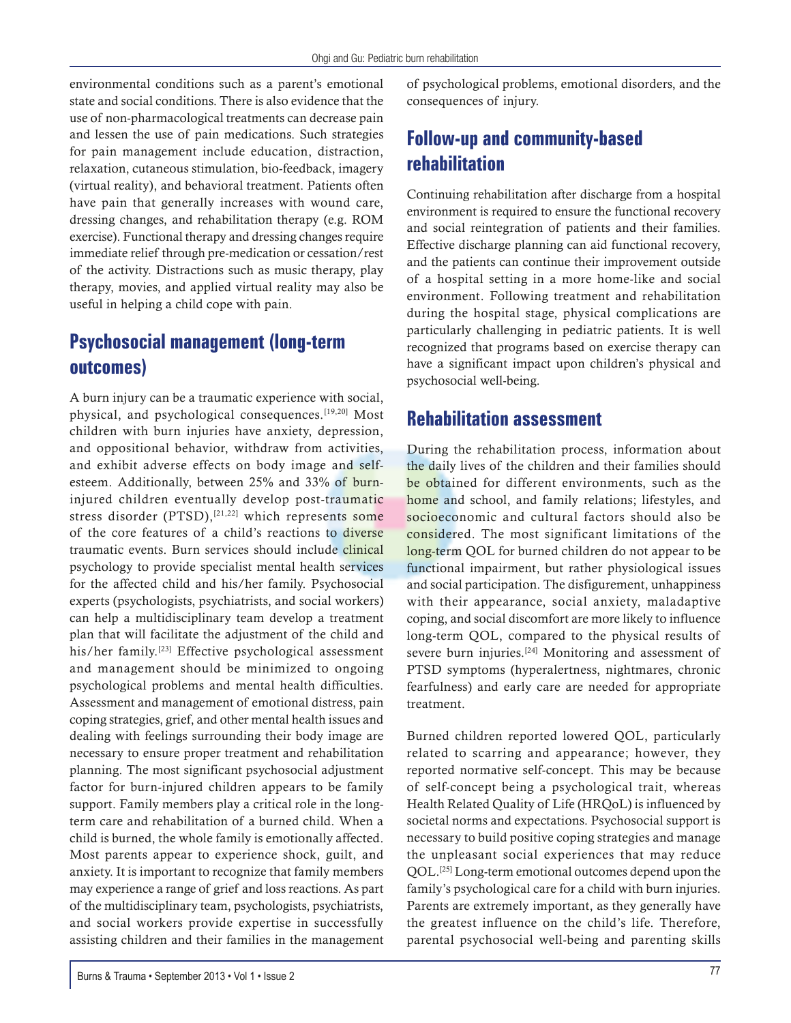environmental conditions such as a parent's emotional state and social conditions. There is also evidence that the use of non-pharmacological treatments can decrease pain and lessen the use of pain medications. Such strategies for pain management include education, distraction, relaxation, cutaneous stimulation, bio-feedback, imagery (virtual reality), and behavioral treatment. Patients often have pain that generally increases with wound care, dressing changes, and rehabilitation therapy (e.g. ROM exercise). Functional therapy and dressing changes require immediate relief through pre-medication or cessation/rest of the activity. Distractions such as music therapy, play therapy, movies, and applied virtual reality may also be useful in helping a child cope with pain.

#### **Psychosocial management (long-term outcomes)**

A burn injury can be a traumatic experience with social, physical, and psychological consequences.[19,20] Most children with burn injuries have anxiety, depression, and oppositional behavior, withdraw from activities, and exhibit adverse effects on body image and selfesteem. Additionally, between 25% and 33% of burninjured children eventually develop post-traumatic stress disorder (PTSD),<sup>[21,22]</sup> which represents some of the core features of a child's reactions to diverse traumatic events. Burn services should include clinical psychology to provide specialist mental health services for the affected child and his/her family. Psychosocial experts (psychologists, psychiatrists, and social workers) can help a multidisciplinary team develop a treatment plan that will facilitate the adjustment of the child and his/her family.<sup>[23]</sup> Effective psychological assessment and management should be minimized to ongoing psychological problems and mental health difficulties. Assessment and management of emotional distress, pain coping strategies, grief, and other mental health issues and dealing with feelings surrounding their body image are necessary to ensure proper treatment and rehabilitation planning. The most significant psychosocial adjustment factor for burn-injured children appears to be family support. Family members play a critical role in the longterm care and rehabilitation of a burned child. When a child is burned, the whole family is emotionally affected. Most parents appear to experience shock, guilt, and anxiety. It is important to recognize that family members may experience a range of grief and loss reactions. As part of the multidisciplinary team, psychologists, psychiatrists, and social workers provide expertise in successfully assisting children and their families in the management

of psychological problems, emotional disorders, and the consequences of injury.

# **Follow-up and community-based rehabilitation**

Continuing rehabilitation after discharge from a hospital environment is required to ensure the functional recovery and social reintegration of patients and their families. Effective discharge planning can aid functional recovery, and the patients can continue their improvement outside of a hospital setting in a more home-like and social environment. Following treatment and rehabilitation during the hospital stage, physical complications are particularly challenging in pediatric patients. It is well recognized that programs based on exercise therapy can have a significant impact upon children's physical and psychosocial well-being.

#### **Rehabilitation assessment**

During the rehabilitation process, information about the daily lives of the children and their families should be obtained for different environments, such as the home and school, and family relations; lifestyles, and socioeconomic and cultural factors should also be considered. The most significant limitations of the long-term QOL for burned children do not appear to be functional impairment, but rather physiological issues and social participation. The disfigurement, unhappiness with their appearance, social anxiety, maladaptive coping, and social discomfort are more likely to influence long-term QOL, compared to the physical results of severe burn injuries.<sup>[24]</sup> Monitoring and assessment of PTSD symptoms (hyperalertness, nightmares, chronic fearfulness) and early care are needed for appropriate treatment.

Burned children reported lowered QOL, particularly related to scarring and appearance; however, they reported normative self-concept. This may be because of self-concept being a psychological trait, whereas Health Related Quality of Life (HRQoL) is influenced by societal norms and expectations. Psychosocial support is necessary to build positive coping strategies and manage the unpleasant social experiences that may reduce QOL.[25] Long-term emotional outcomes depend upon the family's psychological care for a child with burn injuries. Parents are extremely important, as they generally have the greatest influence on the child's life. Therefore, parental psychosocial well-being and parenting skills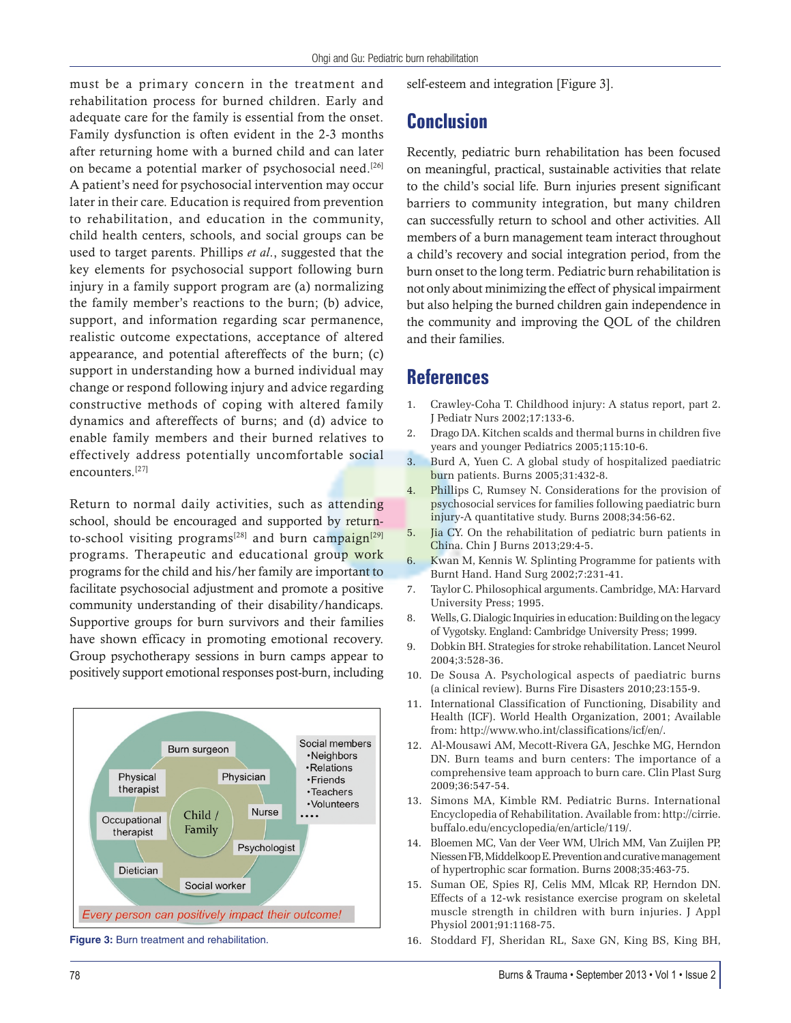must be a primary concern in the treatment and rehabilitation process for burned children. Early and adequate care for the family is essential from the onset. Family dysfunction is often evident in the 2-3 months after returning home with a burned child and can later on became a potential marker of psychosocial need.<sup>[26]</sup> A patient's need for psychosocial intervention may occur later in their care. Education is required from prevention to rehabilitation, and education in the community, child health centers, schools, and social groups can be used to target parents. Phillips *et al*., suggested that the key elements for psychosocial support following burn injury in a family support program are (a) normalizing the family member's reactions to the burn; (b) advice, support, and information regarding scar permanence, realistic outcome expectations, acceptance of altered appearance, and potential aftereffects of the burn; (c) support in understanding how a burned individual may change or respond following injury and advice regarding constructive methods of coping with altered family dynamics and aftereffects of burns; and (d) advice to enable family members and their burned relatives to effectively address potentially uncomfortable social encounters.[27]

Return to normal daily activities, such as attending school, should be encouraged and supported by returnto-school visiting programs<sup>[28]</sup> and burn campaign<sup>[29]</sup> programs. Therapeutic and educational group work programs for the child and his/her family are important to facilitate psychosocial adjustment and promote a positive community understanding of their disability/handicaps. Supportive groups for burn survivors and their families have shown efficacy in promoting emotional recovery. Group psychotherapy sessions in burn camps appear to positively support emotional responses post-burn, including



self-esteem and integration [Figure 3].

#### **Conclusion**

Recently, pediatric burn rehabilitation has been focused on meaningful, practical, sustainable activities that relate to the child's social life. Burn injuries present significant barriers to community integration, but many children can successfully return to school and other activities. All members of a burn management team interact throughout a child's recovery and social integration period, from the burn onset to the long term. Pediatric burn rehabilitation is not only about minimizing the effect of physical impairment but also helping the burned children gain independence in the community and improving the QOL of the children and their families.

#### **References**

- 1. Crawley-Coha T. Childhood injury: A status report, part 2. J Pediatr Nurs 2002;17:133-6.
- 2. Drago DA. Kitchen scalds and thermal burns in children five years and younger Pediatrics 2005;115:10-6.
- 3. Burd A, Yuen C. A global study of hospitalized paediatric burn patients. Burns 2005;31:432-8.
- 4. Phillips C, Rumsey N. Considerations for the provision of psychosocial services for families following paediatric burn injury-A quantitative study. Burns 2008;34:56-62.
- 5. Jia CY. On the rehabilitation of pediatric burn patients in China. Chin J Burns 2013;29:4-5.
- 6. Kwan M, Kennis W. Splinting Programme for patients with Burnt Hand. Hand Surg 2002;7:231-41.
- 7. Taylor C. Philosophical arguments. Cambridge, MA: Harvard University Press; 1995.
- 8. Wells, G. Dialogic Inquiries in education: Building on the legacy of Vygotsky. England: Cambridge University Press; 1999.
- 9. Dobkin BH. Strategies for stroke rehabilitation. Lancet Neurol 2004;3:528-36.
- 10. De Sousa A. Psychological aspects of paediatric burns (a clinical review). Burns Fire Disasters 2010;23:155-9.
- 11. International Classification of Functioning, Disability and Health (ICF). World Health Organization, 2001; Available from: http://www.who.int/classifications/icf/en/.
- 12. Al-Mousawi AM, Mecott-Rivera GA, Jeschke MG, Herndon DN. Burn teams and burn centers: The importance of a comprehensive team approach to burn care. Clin Plast Surg 2009;36:547-54.
- 13. Simons MA, Kimble RM. Pediatric Burns. International Encyclopedia of Rehabilitation. Available from: http://cirrie. buffalo.edu/encyclopedia/en/article/119/.
- 14. Bloemen MC, Van der Veer WM, Ulrich MM, Van Zuijlen PP, Niessen FB, Middelkoop E. Prevention and curative management of hypertrophic scar formation. Burns 2008;35:463-75.
- 15. Suman OE, Spies RJ, Celis MM, Mlcak RP, Herndon DN. Effects of a 12-wk resistance exercise program on skeletal muscle strength in children with burn injuries. J Appl Physiol 2001;91:1168-75.
- Figure 3: Burn treatment and rehabilitation. 16. Stoddard FJ, Sheridan RL, Saxe GN, King BS, King BH,